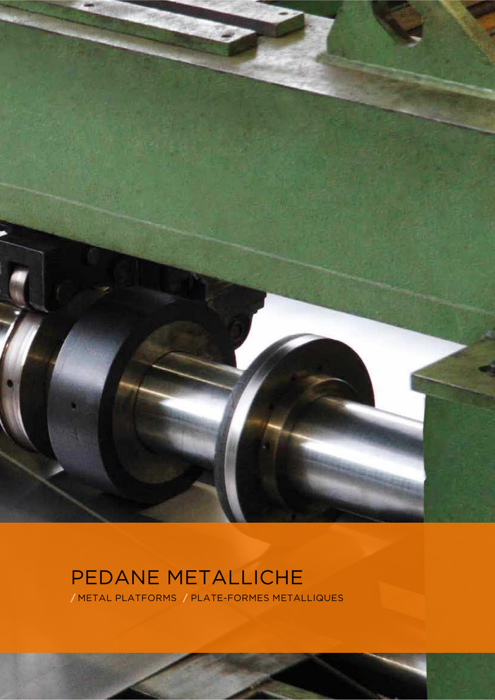

# PEDANE METALLICHE

**/** METAL PLATFORMS **/** PLATE-FORMES METALLIQUES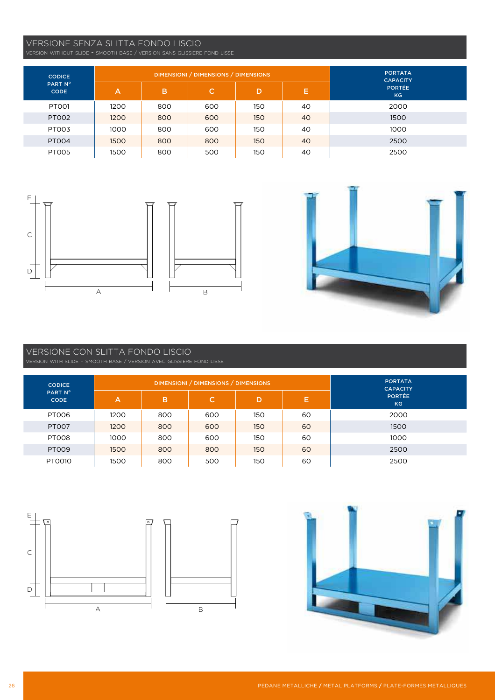#### VERSIONE SENZA SLITTA FONDO LISCIO

VERSION WITHOUT SLIDE - SMOOTH BASE / VERSION SANS GLISSIERE FOND LISSE

| <b>CODICE</b><br>PART N°<br><b>CODE</b> |      |     | DIMENSIONI / DIMENSIONS / DIMENSIONS | <b>PORTATA</b><br><b>CAPACITY</b> |    |                     |
|-----------------------------------------|------|-----|--------------------------------------|-----------------------------------|----|---------------------|
|                                         | A    | в   | C.                                   | D                                 | E. | <b>PORTÉE</b><br>KG |
| PTO01                                   | 1200 | 800 | 600                                  | 150                               | 40 | 2000                |
| PT002                                   | 1200 | 800 | 600                                  | 150                               | 40 | 1500                |
| PT003                                   | 1000 | 800 | 600                                  | 150                               | 40 | 1000                |
| <b>PT004</b>                            | 1500 | 800 | 800                                  | 150                               | 40 | 2500                |
| PT005                                   | 1500 | 800 | 500                                  | 150                               | 40 | 2500                |





### VERSIONE CON SLITTA FONDO LISCIO

VERSION WITH SLIDE - SMOOTH BASE / VERSION AVEC GLISSIERE FOND LISSE

| <b>CODICE</b><br>PART N°<br><b>CODE</b> |      |     | DIMENSIONI / DIMENSIONS / DIMENSIONS | <b>PORTATA</b><br><b>CAPACITY</b> |    |                     |
|-----------------------------------------|------|-----|--------------------------------------|-----------------------------------|----|---------------------|
|                                         | A    | B   | C.                                   | D                                 | Е  | <b>PORTÉE</b><br>KG |
| PTOO6                                   | 1200 | 800 | 600                                  | 150                               | 60 | 2000                |
| <b>PT007</b>                            | 1200 | 800 | 600                                  | 150                               | 60 | 1500                |
| PT008                                   | 1000 | 800 | 600                                  | 150                               | 60 | 1000                |
| <b>PT009</b>                            | 1500 | 800 | 800                                  | 150                               | 60 | 2500                |
| PT0010                                  | 1500 | 800 | 500                                  | 150                               | 60 | 2500                |



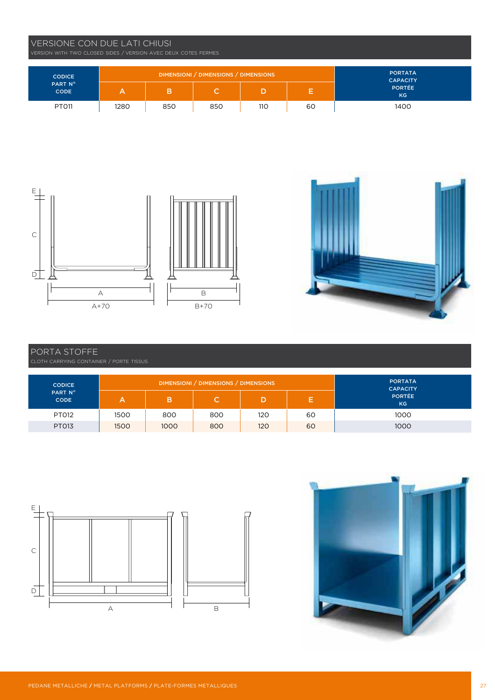#### VERSIONE CON DUE LATI CHIUSI

| <b>CODICE</b><br>PART N°<br><b>CODE</b> |      | DIMENSIONI / DIMENSIONS / DIMENSIONS | <b>PORTATA</b><br><b>CAPACITY</b> |     |    |                      |
|-----------------------------------------|------|--------------------------------------|-----------------------------------|-----|----|----------------------|
|                                         |      |                                      | ٠                                 |     | -  | <b>PORTÉE</b><br>KG. |
| PT011                                   | 1280 | 850                                  | 850                               | 110 | 60 | 1400                 |



## PORTA STOFFE

CLOTH CARRYING CONTAINER / PORTE TISSUS

| <b>CODICE</b><br>PART Nº<br><b>CODE</b> |      | DIMENSIONI / DIMENSIONS / DIMENSIONS | <b>PORTATA</b><br><b>CAPACITY</b> |     |    |                     |
|-----------------------------------------|------|--------------------------------------|-----------------------------------|-----|----|---------------------|
|                                         |      |                                      |                                   |     |    | <b>PORTÉE</b><br>KG |
| <b>PT012</b>                            | 1500 | 800                                  | 800                               | 120 | 60 | 1000                |
| <b>PT013</b>                            | 1500 | 1000                                 | 800                               | 120 | 60 | 1000                |